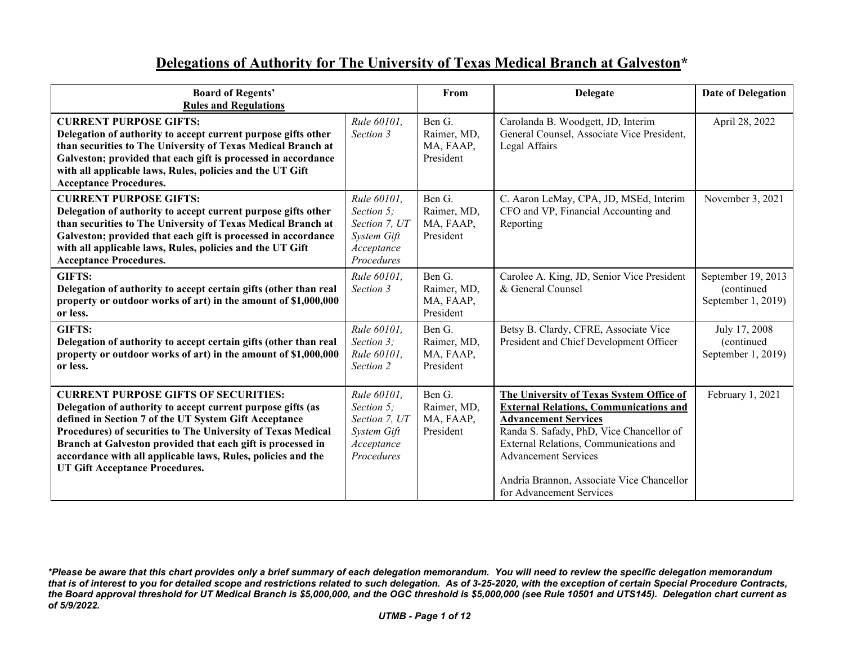## **Delegations of Authority for The University of Texas Medical Branch at Galveston\***

| <b>Board of Regents'</b><br><b>Rules and Regulations</b>                                                                                                                                                                                                                                                                                                                                                    |                                                                                       | From                                            | <b>Delegate</b>                                                                                                                                                                                                                                                                                                        | <b>Date of Delegation</b>                              |
|-------------------------------------------------------------------------------------------------------------------------------------------------------------------------------------------------------------------------------------------------------------------------------------------------------------------------------------------------------------------------------------------------------------|---------------------------------------------------------------------------------------|-------------------------------------------------|------------------------------------------------------------------------------------------------------------------------------------------------------------------------------------------------------------------------------------------------------------------------------------------------------------------------|--------------------------------------------------------|
| <b>CURRENT PURPOSE GIFTS:</b><br>Delegation of authority to accept current purpose gifts other<br>than securities to The University of Texas Medical Branch at<br>Galveston; provided that each gift is processed in accordance<br>with all applicable laws, Rules, policies and the UT Gift<br><b>Acceptance Procedures.</b>                                                                               | Rule 60101,<br>Section 3                                                              | Ben G.<br>Raimer, MD,<br>MA, FAAP,<br>President | Carolanda B. Woodgett, JD, Interim<br>General Counsel, Associate Vice President,<br>Legal Affairs                                                                                                                                                                                                                      | April 28, 2022                                         |
| <b>CURRENT PURPOSE GIFTS:</b><br>Delegation of authority to accept current purpose gifts other<br>than securities to The University of Texas Medical Branch at<br>Galveston; provided that each gift is processed in accordance<br>with all applicable laws, Rules, policies and the UT Gift<br><b>Acceptance Procedures.</b>                                                                               | Rule 60101,<br>Section 5;<br>Section 7, UT<br>System Gift<br>Acceptance<br>Procedures | Ben G.<br>Raimer, MD,<br>MA, FAAP,<br>President | C. Aaron LeMay, CPA, JD, MSEd, Interim<br>CFO and VP, Financial Accounting and<br>Reporting                                                                                                                                                                                                                            | November 3, 2021                                       |
| <b>GIFTS:</b><br>Delegation of authority to accept certain gifts (other than real<br>property or outdoor works of art) in the amount of \$1,000,000<br>or less.                                                                                                                                                                                                                                             | Rule 60101,<br>Section 3                                                              | Ben G.<br>Raimer, MD,<br>MA, FAAP,<br>President | Carolee A. King, JD, Senior Vice President<br>& General Counsel                                                                                                                                                                                                                                                        | September 19, 2013<br>(continued<br>September 1, 2019) |
| <b>GIFTS:</b><br>Delegation of authority to accept certain gifts (other than real<br>property or outdoor works of art) in the amount of \$1,000,000<br>or less.                                                                                                                                                                                                                                             | Rule 60101.<br>Section 3;<br>Rule 60101,<br>Section 2                                 | Ben G.<br>Raimer, MD,<br>MA, FAAP,<br>President | Betsy B. Clardy, CFRE, Associate Vice<br>President and Chief Development Officer                                                                                                                                                                                                                                       | July 17, 2008<br>(continued)<br>September 1, 2019)     |
| <b>CURRENT PURPOSE GIFTS OF SECURITIES:</b><br>Delegation of authority to accept current purpose gifts (as<br>defined in Section 7 of the UT System Gift Acceptance<br>Procedures) of securities to The University of Texas Medical<br>Branch at Galveston provided that each gift is processed in<br>accordance with all applicable laws, Rules, policies and the<br><b>UT Gift Acceptance Procedures.</b> | Rule 60101,<br>Section 5:<br>Section 7, UT<br>System Gift<br>Acceptance<br>Procedures | Ben G.<br>Raimer, MD,<br>MA, FAAP,<br>President | The University of Texas System Office of<br><b>External Relations, Communications and</b><br><b>Advancement Services</b><br>Randa S. Safady, PhD, Vice Chancellor of<br>External Relations, Communications and<br><b>Advancement Services</b><br>Andria Brannon, Associate Vice Chancellor<br>for Advancement Services | February 1, 2021                                       |

*<sup>\*</sup>Please be aware that this chart provides only a brief summary of each delegation memorandum. You will need to review the specific delegation memorandum that is of interest to you for detailed scope and restrictions related to such delegation. As of 3-25-2020, with the exception of certain Special Procedure Contracts, the Board approval threshold for UT Medical Branch is \$5,000,000, and the OGC threshold is \$5,000,000 (see Rule 10501 and UTS145). Delegation chart current as of 5/9/2022.*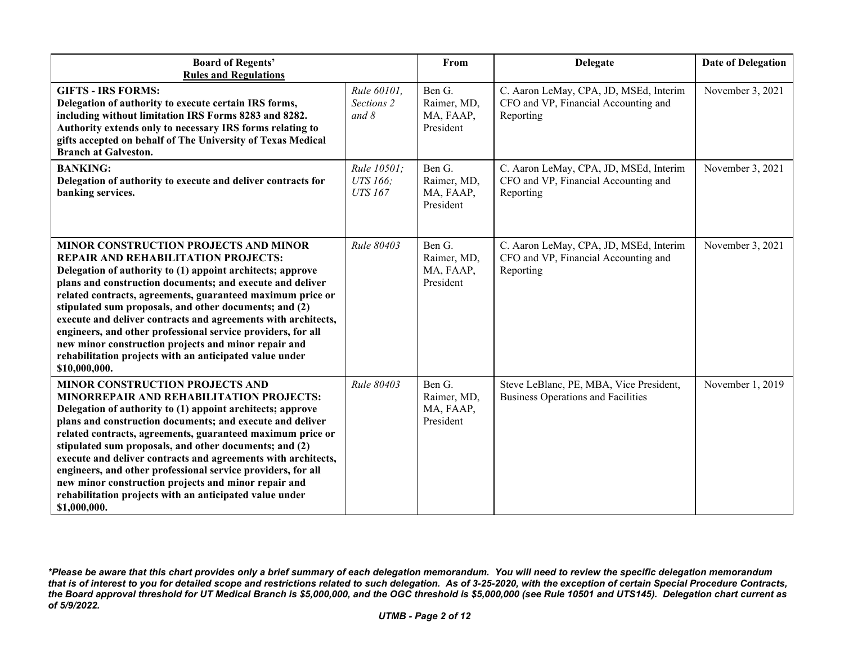| <b>Board of Regents'</b><br><b>Rules and Regulations</b>                                                                                                                                                                                                                                                                                                                                                                                                                                                                                                                                                         |                                           | From                                            | <b>Delegate</b>                                                                             | <b>Date of Delegation</b> |
|------------------------------------------------------------------------------------------------------------------------------------------------------------------------------------------------------------------------------------------------------------------------------------------------------------------------------------------------------------------------------------------------------------------------------------------------------------------------------------------------------------------------------------------------------------------------------------------------------------------|-------------------------------------------|-------------------------------------------------|---------------------------------------------------------------------------------------------|---------------------------|
| <b>GIFTS - IRS FORMS:</b><br>Delegation of authority to execute certain IRS forms,<br>including without limitation IRS Forms 8283 and 8282.<br>Authority extends only to necessary IRS forms relating to<br>gifts accepted on behalf of The University of Texas Medical<br><b>Branch at Galveston.</b>                                                                                                                                                                                                                                                                                                           | Rule 60101,<br>Sections 2<br>and $8$      | Ben G.<br>Raimer, MD,<br>MA, FAAP,<br>President | C. Aaron LeMay, CPA, JD, MSEd, Interim<br>CFO and VP, Financial Accounting and<br>Reporting | November 3, 2021          |
| <b>BANKING:</b><br>Delegation of authority to execute and deliver contracts for<br>banking services.                                                                                                                                                                                                                                                                                                                                                                                                                                                                                                             | Rule 10501;<br>UTS 166;<br><b>UTS 167</b> | Ben G.<br>Raimer, MD,<br>MA, FAAP,<br>President | C. Aaron LeMay, CPA, JD, MSEd, Interim<br>CFO and VP, Financial Accounting and<br>Reporting | November 3, 2021          |
| MINOR CONSTRUCTION PROJECTS AND MINOR<br><b>REPAIR AND REHABILITATION PROJECTS:</b><br>Delegation of authority to (1) appoint architects; approve<br>plans and construction documents; and execute and deliver<br>related contracts, agreements, guaranteed maximum price or<br>stipulated sum proposals, and other documents; and (2)<br>execute and deliver contracts and agreements with architects,<br>engineers, and other professional service providers, for all<br>new minor construction projects and minor repair and<br>rehabilitation projects with an anticipated value under<br>\$10,000,000.      | Rule 80403                                | Ben G.<br>Raimer, MD,<br>MA, FAAP,<br>President | C. Aaron LeMay, CPA, JD, MSEd, Interim<br>CFO and VP, Financial Accounting and<br>Reporting | November 3, 2021          |
| <b>MINOR CONSTRUCTION PROJECTS AND</b><br><b>MINORREPAIR AND REHABILITATION PROJECTS:</b><br>Delegation of authority to (1) appoint architects; approve<br>plans and construction documents; and execute and deliver<br>related contracts, agreements, guaranteed maximum price or<br>stipulated sum proposals, and other documents; and (2)<br>execute and deliver contracts and agreements with architects,<br>engineers, and other professional service providers, for all<br>new minor construction projects and minor repair and<br>rehabilitation projects with an anticipated value under<br>\$1,000,000. | Rule 80403                                | Ben G.<br>Raimer, MD,<br>MA, FAAP,<br>President | Steve LeBlanc, PE, MBA, Vice President,<br><b>Business Operations and Facilities</b>        | November 1, 2019          |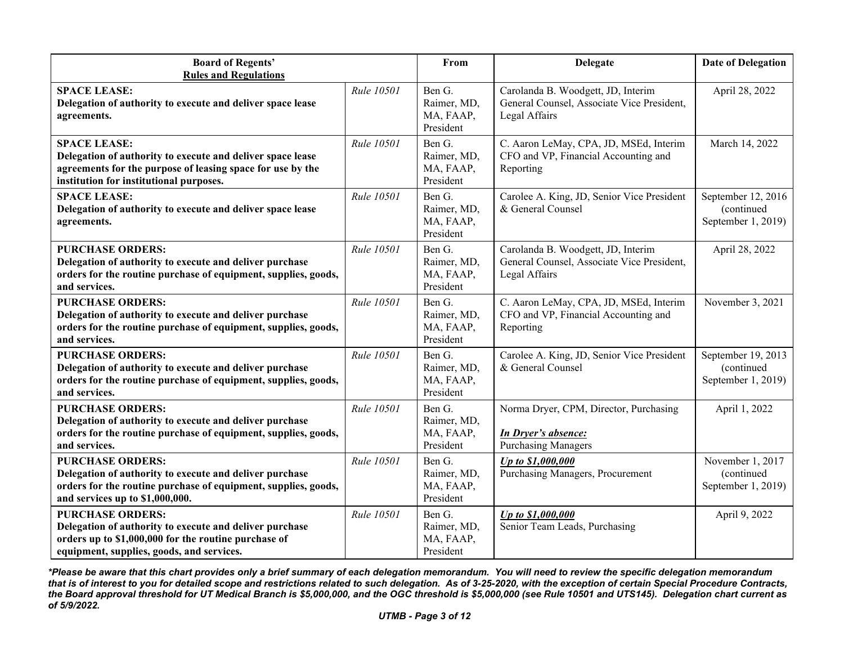| <b>Board of Regents'</b><br><b>Rules and Regulations</b>                                                                                                                                   |            | From                                            | Delegate                                                                                           | <b>Date of Delegation</b>                              |
|--------------------------------------------------------------------------------------------------------------------------------------------------------------------------------------------|------------|-------------------------------------------------|----------------------------------------------------------------------------------------------------|--------------------------------------------------------|
| <b>SPACE LEASE:</b><br>Delegation of authority to execute and deliver space lease<br>agreements.                                                                                           | Rule 10501 | Ben G.<br>Raimer, MD,<br>MA, FAAP,<br>President | Carolanda B. Woodgett, JD, Interim<br>General Counsel, Associate Vice President,<br>Legal Affairs  | April 28, 2022                                         |
| <b>SPACE LEASE:</b><br>Delegation of authority to execute and deliver space lease<br>agreements for the purpose of leasing space for use by the<br>institution for institutional purposes. | Rule 10501 | Ben G.<br>Raimer, MD,<br>MA, FAAP,<br>President | C. Aaron LeMay, CPA, JD, MSEd, Interim<br>CFO and VP, Financial Accounting and<br>Reporting        | March 14, 2022                                         |
| <b>SPACE LEASE:</b><br>Delegation of authority to execute and deliver space lease<br>agreements.                                                                                           | Rule 10501 | Ben G.<br>Raimer, MD,<br>MA, FAAP,<br>President | Carolee A. King, JD, Senior Vice President<br>& General Counsel                                    | September 12, 2016<br>(continued<br>September 1, 2019) |
| <b>PURCHASE ORDERS:</b><br>Delegation of authority to execute and deliver purchase<br>orders for the routine purchase of equipment, supplies, goods,<br>and services.                      | Rule 10501 | Ben G.<br>Raimer, MD,<br>MA, FAAP,<br>President | Carolanda B. Woodgett, JD, Interim<br>General Counsel, Associate Vice President,<br>Legal Affairs  | April 28, 2022                                         |
| <b>PURCHASE ORDERS:</b><br>Delegation of authority to execute and deliver purchase<br>orders for the routine purchase of equipment, supplies, goods,<br>and services.                      | Rule 10501 | Ben G.<br>Raimer, MD,<br>MA, FAAP,<br>President | C. Aaron LeMay, CPA, JD, MSEd, Interim<br>CFO and VP, Financial Accounting and<br>Reporting        | November 3, 2021                                       |
| <b>PURCHASE ORDERS:</b><br>Delegation of authority to execute and deliver purchase<br>orders for the routine purchase of equipment, supplies, goods,<br>and services.                      | Rule 10501 | Ben G.<br>Raimer, MD,<br>MA, FAAP,<br>President | Carolee A. King, JD, Senior Vice President<br>& General Counsel                                    | September 19, 2013<br>(continued<br>September 1, 2019) |
| <b>PURCHASE ORDERS:</b><br>Delegation of authority to execute and deliver purchase<br>orders for the routine purchase of equipment, supplies, goods,<br>and services.                      | Rule 10501 | Ben G.<br>Raimer, MD,<br>MA, FAAP,<br>President | Norma Dryer, CPM, Director, Purchasing<br><b>In Dryer's absence:</b><br><b>Purchasing Managers</b> | April 1, 2022                                          |
| <b>PURCHASE ORDERS:</b><br>Delegation of authority to execute and deliver purchase<br>orders for the routine purchase of equipment, supplies, goods,<br>and services up to \$1,000,000.    | Rule 10501 | Ben G.<br>Raimer, MD,<br>MA, FAAP,<br>President | Up to \$1,000,000<br>Purchasing Managers, Procurement                                              | November 1, 2017<br>(continued<br>September 1, 2019)   |
| <b>PURCHASE ORDERS:</b><br>Delegation of authority to execute and deliver purchase<br>orders up to \$1,000,000 for the routine purchase of<br>equipment, supplies, goods, and services.    | Rule 10501 | Ben G.<br>Raimer, MD,<br>MA, FAAP,<br>President | Up to \$1,000,000<br>Senior Team Leads, Purchasing                                                 | April 9, 2022                                          |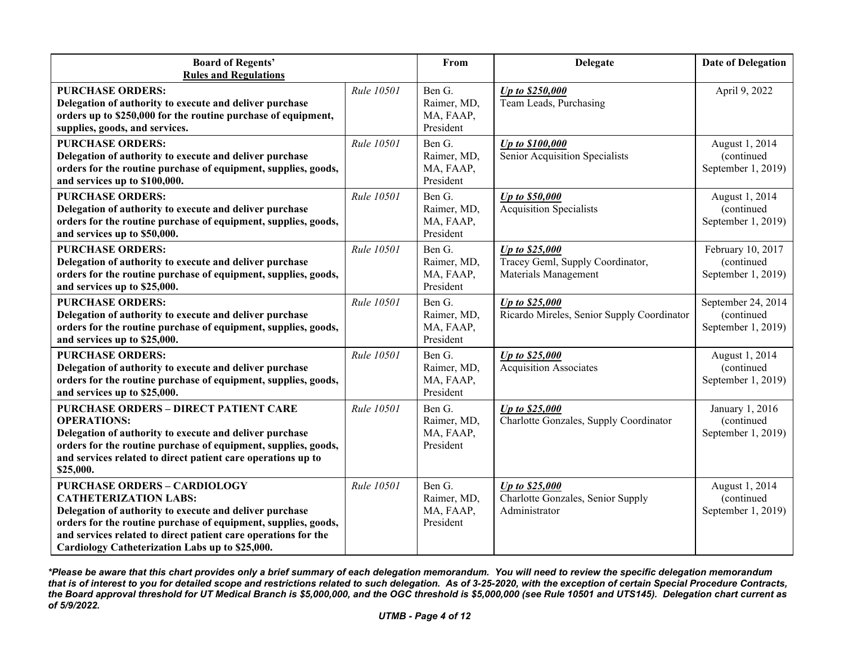| <b>Board of Regents'</b><br><b>Rules and Regulations</b>                                                                                                                                                                                                                                                              |            | From                                            | <b>Delegate</b>                                                            | <b>Date of Delegation</b>                              |
|-----------------------------------------------------------------------------------------------------------------------------------------------------------------------------------------------------------------------------------------------------------------------------------------------------------------------|------------|-------------------------------------------------|----------------------------------------------------------------------------|--------------------------------------------------------|
| <b>PURCHASE ORDERS:</b><br>Delegation of authority to execute and deliver purchase<br>orders up to \$250,000 for the routine purchase of equipment,<br>supplies, goods, and services.                                                                                                                                 | Rule 10501 | Ben G.<br>Raimer, MD,<br>MA, FAAP,<br>President | Up to \$250,000<br>Team Leads, Purchasing                                  | April 9, 2022                                          |
| <b>PURCHASE ORDERS:</b><br>Delegation of authority to execute and deliver purchase<br>orders for the routine purchase of equipment, supplies, goods,<br>and services up to \$100,000.                                                                                                                                 | Rule 10501 | Ben G.<br>Raimer, MD,<br>MA, FAAP,<br>President | Up to \$100,000<br>Senior Acquisition Specialists                          | August 1, 2014<br>(continued<br>September 1, 2019)     |
| <b>PURCHASE ORDERS:</b><br>Delegation of authority to execute and deliver purchase<br>orders for the routine purchase of equipment, supplies, goods,<br>and services up to \$50,000.                                                                                                                                  | Rule 10501 | Ben G.<br>Raimer, MD,<br>MA, FAAP,<br>President | Up to \$50,000<br><b>Acquisition Specialists</b>                           | August 1, 2014<br>(continued<br>September 1, 2019)     |
| <b>PURCHASE ORDERS:</b><br>Delegation of authority to execute and deliver purchase<br>orders for the routine purchase of equipment, supplies, goods,<br>and services up to \$25,000.                                                                                                                                  | Rule 10501 | Ben G.<br>Raimer, MD,<br>MA, FAAP,<br>President | Up to \$25,000<br>Tracey Geml, Supply Coordinator,<br>Materials Management | February 10, 2017<br>(continued<br>September 1, 2019)  |
| <b>PURCHASE ORDERS:</b><br>Delegation of authority to execute and deliver purchase<br>orders for the routine purchase of equipment, supplies, goods,<br>and services up to \$25,000.                                                                                                                                  | Rule 10501 | Ben G.<br>Raimer, MD,<br>MA, FAAP,<br>President | Up to \$25,000<br>Ricardo Mireles, Senior Supply Coordinator               | September 24, 2014<br>(continued<br>September 1, 2019) |
| <b>PURCHASE ORDERS:</b><br>Delegation of authority to execute and deliver purchase<br>orders for the routine purchase of equipment, supplies, goods,<br>and services up to \$25,000.                                                                                                                                  | Rule 10501 | Ben G.<br>Raimer, MD,<br>MA, FAAP,<br>President | Up to \$25,000<br><b>Acquisition Associates</b>                            | August 1, 2014<br>(continued<br>September 1, 2019)     |
| <b>PURCHASE ORDERS - DIRECT PATIENT CARE</b><br><b>OPERATIONS:</b><br>Delegation of authority to execute and deliver purchase<br>orders for the routine purchase of equipment, supplies, goods,<br>and services related to direct patient care operations up to<br>\$25,000.                                          | Rule 10501 | Ben G.<br>Raimer, MD,<br>MA, FAAP,<br>President | Up to \$25,000<br>Charlotte Gonzales, Supply Coordinator                   | January 1, 2016<br>(continued<br>September 1, 2019)    |
| <b>PURCHASE ORDERS - CARDIOLOGY</b><br><b>CATHETERIZATION LABS:</b><br>Delegation of authority to execute and deliver purchase<br>orders for the routine purchase of equipment, supplies, goods,<br>and services related to direct patient care operations for the<br>Cardiology Catheterization Labs up to \$25,000. | Rule 10501 | Ben G.<br>Raimer, MD,<br>MA, FAAP,<br>President | Up to \$25,000<br>Charlotte Gonzales, Senior Supply<br>Administrator       | August 1, 2014<br>(continued<br>September 1, 2019)     |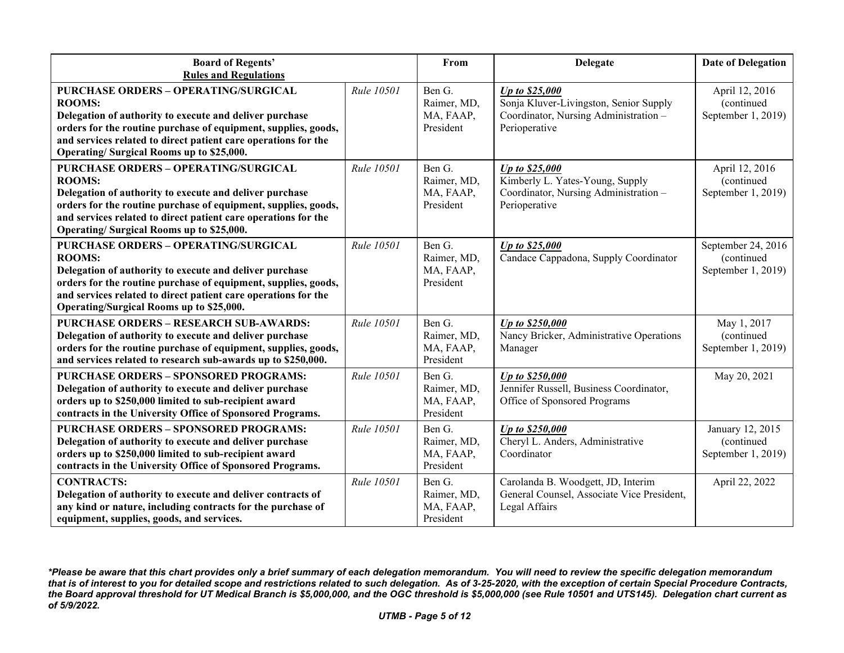| <b>Board of Regents'</b><br><b>Rules and Regulations</b>                                                                                                                                                                                                                                                |                   | From                                            | <b>Delegate</b>                                                                                                    | <b>Date of Delegation</b>                              |
|---------------------------------------------------------------------------------------------------------------------------------------------------------------------------------------------------------------------------------------------------------------------------------------------------------|-------------------|-------------------------------------------------|--------------------------------------------------------------------------------------------------------------------|--------------------------------------------------------|
| <b>PURCHASE ORDERS - OPERATING/SURGICAL</b><br><b>ROOMS:</b><br>Delegation of authority to execute and deliver purchase<br>orders for the routine purchase of equipment, supplies, goods,<br>and services related to direct patient care operations for the<br>Operating/Surgical Rooms up to \$25,000. | Rule 10501        | Ben G.<br>Raimer, MD,<br>MA, FAAP,<br>President | Up to \$25,000<br>Sonja Kluver-Livingston, Senior Supply<br>Coordinator, Nursing Administration -<br>Perioperative | April 12, 2016<br>(continued<br>September 1, 2019)     |
| <b>PURCHASE ORDERS - OPERATING/SURGICAL</b><br><b>ROOMS:</b><br>Delegation of authority to execute and deliver purchase<br>orders for the routine purchase of equipment, supplies, goods,<br>and services related to direct patient care operations for the<br>Operating/Surgical Rooms up to \$25,000. | Rule 10501        | Ben G.<br>Raimer, MD,<br>MA, FAAP,<br>President | Up to \$25,000<br>Kimberly L. Yates-Young, Supply<br>Coordinator, Nursing Administration -<br>Perioperative        | April 12, 2016<br>(continued<br>September 1, 2019)     |
| <b>PURCHASE ORDERS - OPERATING/SURGICAL</b><br><b>ROOMS:</b><br>Delegation of authority to execute and deliver purchase<br>orders for the routine purchase of equipment, supplies, goods,<br>and services related to direct patient care operations for the<br>Operating/Surgical Rooms up to \$25,000. | Rule 10501        | Ben G.<br>Raimer, MD,<br>MA, FAAP,<br>President | Up to \$25,000<br>Candace Cappadona, Supply Coordinator                                                            | September 24, 2016<br>(continued<br>September 1, 2019) |
| <b>PURCHASE ORDERS - RESEARCH SUB-AWARDS:</b><br>Delegation of authority to execute and deliver purchase<br>orders for the routine purchase of equipment, supplies, goods,<br>and services related to research sub-awards up to \$250,000.                                                              | Rule 10501        | Ben G.<br>Raimer, MD,<br>MA, FAAP,<br>President | Up to \$250,000<br>Nancy Bricker, Administrative Operations<br>Manager                                             | May 1, 2017<br>(continued<br>September 1, 2019)        |
| <b>PURCHASE ORDERS - SPONSORED PROGRAMS:</b><br>Delegation of authority to execute and deliver purchase<br>orders up to \$250,000 limited to sub-recipient award<br>contracts in the University Office of Sponsored Programs.                                                                           | Rule 10501        | Ben G.<br>Raimer, MD,<br>MA, FAAP,<br>President | Up to \$250,000<br>Jennifer Russell, Business Coordinator,<br>Office of Sponsored Programs                         | May 20, 2021                                           |
| <b>PURCHASE ORDERS - SPONSORED PROGRAMS:</b><br>Delegation of authority to execute and deliver purchase<br>orders up to \$250,000 limited to sub-recipient award<br>contracts in the University Office of Sponsored Programs.                                                                           | Rule 10501        | Ben G.<br>Raimer, MD,<br>MA, FAAP,<br>President | Up to \$250,000<br>Cheryl L. Anders, Administrative<br>Coordinator                                                 | January 12, 2015<br>(continued<br>September 1, 2019)   |
| <b>CONTRACTS:</b><br>Delegation of authority to execute and deliver contracts of<br>any kind or nature, including contracts for the purchase of<br>equipment, supplies, goods, and services.                                                                                                            | <b>Rule 10501</b> | Ben G.<br>Raimer, MD,<br>MA, FAAP,<br>President | Carolanda B. Woodgett, JD, Interim<br>General Counsel, Associate Vice President,<br>Legal Affairs                  | April 22, 2022                                         |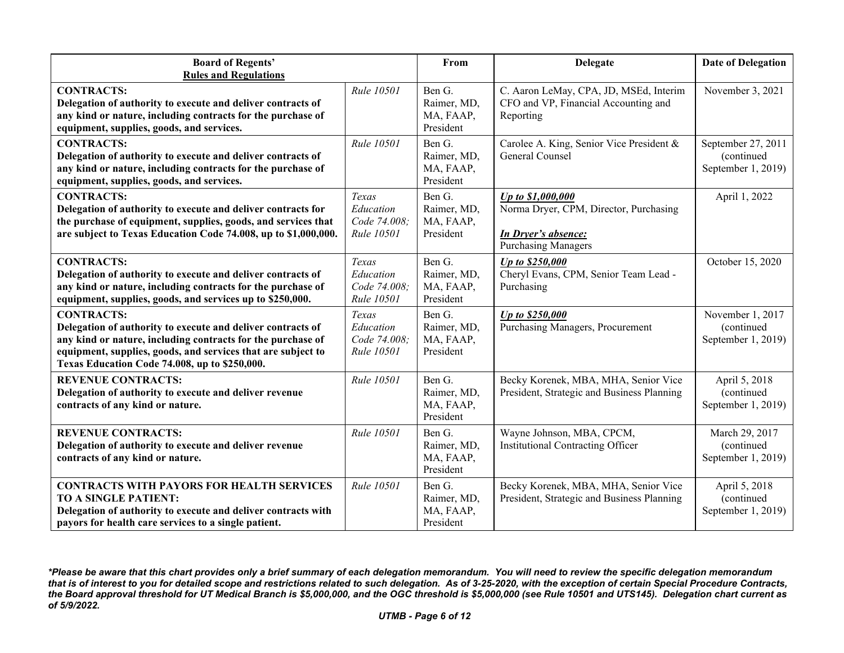| <b>Board of Regents'</b><br><b>Rules and Regulations</b>                                                                                                                                                                                                         |                                                  | From                                            | <b>Delegate</b>                                                                                                         | <b>Date of Delegation</b>                              |
|------------------------------------------------------------------------------------------------------------------------------------------------------------------------------------------------------------------------------------------------------------------|--------------------------------------------------|-------------------------------------------------|-------------------------------------------------------------------------------------------------------------------------|--------------------------------------------------------|
| <b>CONTRACTS:</b><br>Delegation of authority to execute and deliver contracts of<br>any kind or nature, including contracts for the purchase of<br>equipment, supplies, goods, and services.                                                                     | Rule 10501                                       | Ben G.<br>Raimer, MD,<br>MA, FAAP,<br>President | C. Aaron LeMay, CPA, JD, MSEd, Interim<br>CFO and VP, Financial Accounting and<br>Reporting                             | November 3, 2021                                       |
| <b>CONTRACTS:</b><br>Delegation of authority to execute and deliver contracts of<br>any kind or nature, including contracts for the purchase of<br>equipment, supplies, goods, and services.                                                                     | Rule 10501                                       | Ben G.<br>Raimer, MD,<br>MA, FAAP,<br>President | Carolee A. King, Senior Vice President &<br>General Counsel                                                             | September 27, 2011<br>(continued<br>September 1, 2019) |
| <b>CONTRACTS:</b><br>Delegation of authority to execute and deliver contracts for<br>the purchase of equipment, supplies, goods, and services that<br>are subject to Texas Education Code 74.008, up to \$1,000,000.                                             | Texas<br>Education<br>Code 74.008:<br>Rule 10501 | Ben G.<br>Raimer, MD,<br>MA, FAAP,<br>President | Up to \$1,000,000<br>Norma Dryer, CPM, Director, Purchasing<br><b>In Dryer's absence:</b><br><b>Purchasing Managers</b> | April 1, 2022                                          |
| <b>CONTRACTS:</b><br>Delegation of authority to execute and deliver contracts of<br>any kind or nature, including contracts for the purchase of<br>equipment, supplies, goods, and services up to \$250,000.                                                     | Texas<br>Education<br>Code 74.008;<br>Rule 10501 | Ben G.<br>Raimer, MD,<br>MA, FAAP,<br>President | Up to \$250,000<br>Cheryl Evans, CPM, Senior Team Lead -<br>Purchasing                                                  | October 15, 2020                                       |
| <b>CONTRACTS:</b><br>Delegation of authority to execute and deliver contracts of<br>any kind or nature, including contracts for the purchase of<br>equipment, supplies, goods, and services that are subject to<br>Texas Education Code 74.008, up to \$250,000. | Texas<br>Education<br>Code 74.008;<br>Rule 10501 | Ben G.<br>Raimer, MD,<br>MA, FAAP,<br>President | Up to \$250,000<br>Purchasing Managers, Procurement                                                                     | November 1, 2017<br>(continued<br>September 1, 2019)   |
| <b>REVENUE CONTRACTS:</b><br>Delegation of authority to execute and deliver revenue<br>contracts of any kind or nature.                                                                                                                                          | Rule 10501                                       | Ben G.<br>Raimer, MD,<br>MA, FAAP,<br>President | Becky Korenek, MBA, MHA, Senior Vice<br>President, Strategic and Business Planning                                      | April 5, 2018<br>(continued<br>September 1, 2019)      |
| <b>REVENUE CONTRACTS:</b><br>Delegation of authority to execute and deliver revenue<br>contracts of any kind or nature.                                                                                                                                          | Rule 10501                                       | Ben G.<br>Raimer, MD,<br>MA, FAAP,<br>President | Wayne Johnson, MBA, CPCM,<br><b>Institutional Contracting Officer</b>                                                   | March 29, 2017<br>(continued<br>September 1, 2019)     |
| <b>CONTRACTS WITH PAYORS FOR HEALTH SERVICES</b><br><b>TO A SINGLE PATIENT:</b><br>Delegation of authority to execute and deliver contracts with<br>payors for health care services to a single patient.                                                         | Rule 10501                                       | Ben G.<br>Raimer, MD,<br>MA, FAAP,<br>President | Becky Korenek, MBA, MHA, Senior Vice<br>President, Strategic and Business Planning                                      | April 5, 2018<br>(continued)<br>September 1, 2019)     |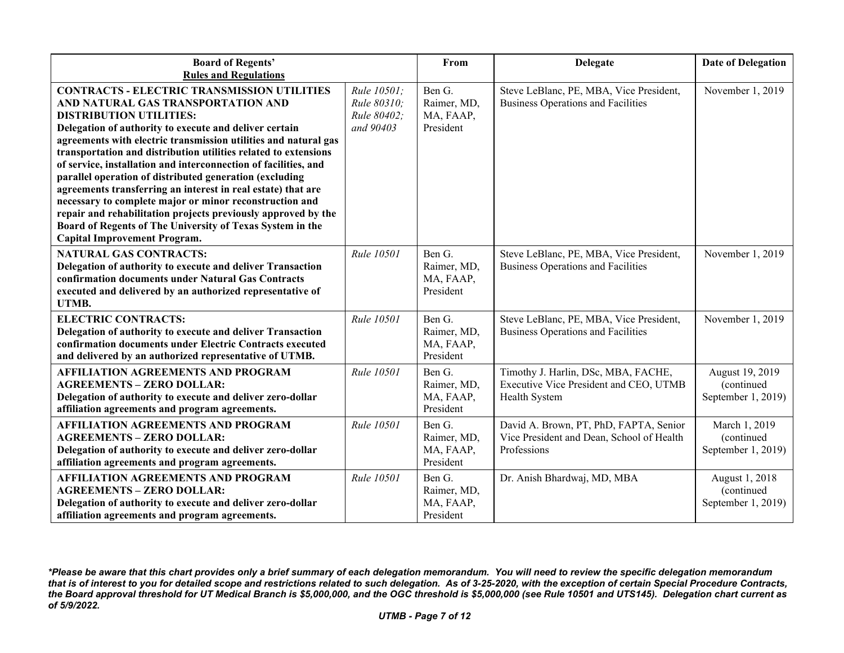| <b>Board of Regents'</b><br><b>Rules and Regulations</b>                                                                                                                                                                                                                                                                                                                                                                                                                                                                                                                                                                                                                                                                                                 |                                                        | From                                            | <b>Delegate</b>                                                                                    | <b>Date of Delegation</b>                           |
|----------------------------------------------------------------------------------------------------------------------------------------------------------------------------------------------------------------------------------------------------------------------------------------------------------------------------------------------------------------------------------------------------------------------------------------------------------------------------------------------------------------------------------------------------------------------------------------------------------------------------------------------------------------------------------------------------------------------------------------------------------|--------------------------------------------------------|-------------------------------------------------|----------------------------------------------------------------------------------------------------|-----------------------------------------------------|
| <b>CONTRACTS - ELECTRIC TRANSMISSION UTILITIES</b><br>AND NATURAL GAS TRANSPORTATION AND<br><b>DISTRIBUTION UTILITIES:</b><br>Delegation of authority to execute and deliver certain<br>agreements with electric transmission utilities and natural gas<br>transportation and distribution utilities related to extensions<br>of service, installation and interconnection of facilities, and<br>parallel operation of distributed generation (excluding<br>agreements transferring an interest in real estate) that are<br>necessary to complete major or minor reconstruction and<br>repair and rehabilitation projects previously approved by the<br>Board of Regents of The University of Texas System in the<br><b>Capital Improvement Program.</b> | Rule 10501;<br>Rule 80310;<br>Rule 80402;<br>and 90403 | Ben G.<br>Raimer, MD,<br>MA, FAAP,<br>President | Steve LeBlanc, PE, MBA, Vice President,<br><b>Business Operations and Facilities</b>               | November 1, 2019                                    |
| <b>NATURAL GAS CONTRACTS:</b><br>Delegation of authority to execute and deliver Transaction<br>confirmation documents under Natural Gas Contracts<br>executed and delivered by an authorized representative of<br>UTMB.                                                                                                                                                                                                                                                                                                                                                                                                                                                                                                                                  | Rule 10501                                             | Ben G.<br>Raimer, MD,<br>MA, FAAP,<br>President | Steve LeBlanc, PE, MBA, Vice President,<br><b>Business Operations and Facilities</b>               | November 1, 2019                                    |
| <b>ELECTRIC CONTRACTS:</b><br>Delegation of authority to execute and deliver Transaction<br>confirmation documents under Electric Contracts executed<br>and delivered by an authorized representative of UTMB.                                                                                                                                                                                                                                                                                                                                                                                                                                                                                                                                           | Rule 10501                                             | Ben G.<br>Raimer, MD,<br>MA, FAAP,<br>President | Steve LeBlanc, PE, MBA, Vice President,<br><b>Business Operations and Facilities</b>               | November 1, 2019                                    |
| <b>AFFILIATION AGREEMENTS AND PROGRAM</b><br><b>AGREEMENTS - ZERO DOLLAR:</b><br>Delegation of authority to execute and deliver zero-dollar<br>affiliation agreements and program agreements.                                                                                                                                                                                                                                                                                                                                                                                                                                                                                                                                                            | Rule 10501                                             | Ben G.<br>Raimer, MD,<br>MA, FAAP,<br>President | Timothy J. Harlin, DSc, MBA, FACHE,<br>Executive Vice President and CEO, UTMB<br>Health System     | August 19, 2019<br>(continued<br>September 1, 2019) |
| <b>AFFILIATION AGREEMENTS AND PROGRAM</b><br><b>AGREEMENTS - ZERO DOLLAR:</b><br>Delegation of authority to execute and deliver zero-dollar<br>affiliation agreements and program agreements.                                                                                                                                                                                                                                                                                                                                                                                                                                                                                                                                                            | Rule 10501                                             | Ben G.<br>Raimer, MD,<br>MA, FAAP,<br>President | David A. Brown, PT, PhD, FAPTA, Senior<br>Vice President and Dean, School of Health<br>Professions | March 1, 2019<br>(continued<br>September 1, 2019)   |
| <b>AFFILIATION AGREEMENTS AND PROGRAM</b><br><b>AGREEMENTS - ZERO DOLLAR:</b><br>Delegation of authority to execute and deliver zero-dollar<br>affiliation agreements and program agreements.                                                                                                                                                                                                                                                                                                                                                                                                                                                                                                                                                            | Rule 10501                                             | Ben G.<br>Raimer, MD,<br>MA, FAAP,<br>President | Dr. Anish Bhardwaj, MD, MBA                                                                        | August 1, 2018<br>(continued<br>September 1, 2019)  |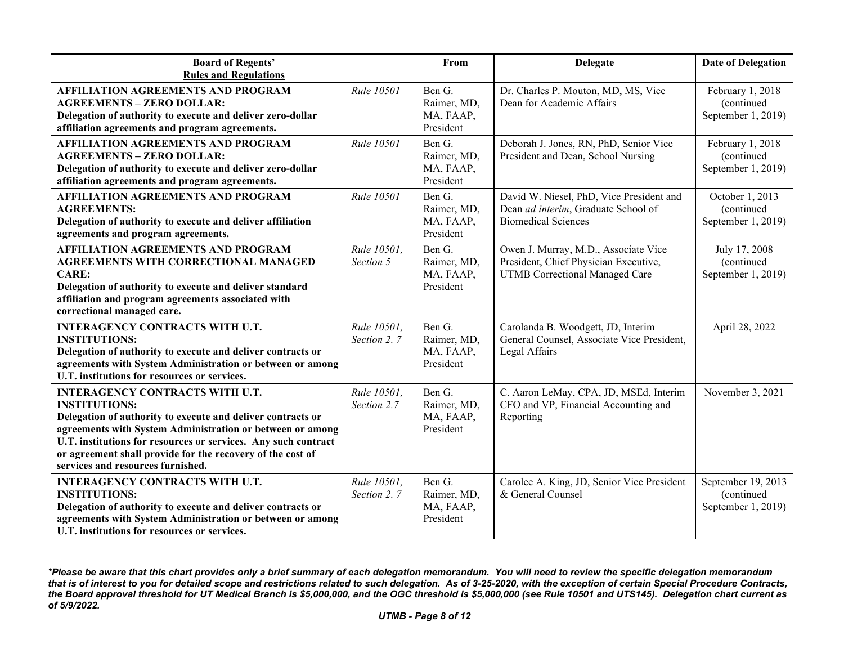| <b>Board of Regents'</b>                                                                                                                                                                                                                                                                                                                                        |                            | From                                            | <b>Delegate</b>                                                                                                        | <b>Date of Delegation</b>                              |
|-----------------------------------------------------------------------------------------------------------------------------------------------------------------------------------------------------------------------------------------------------------------------------------------------------------------------------------------------------------------|----------------------------|-------------------------------------------------|------------------------------------------------------------------------------------------------------------------------|--------------------------------------------------------|
| <b>Rules and Regulations</b><br><b>AFFILIATION AGREEMENTS AND PROGRAM</b><br><b>AGREEMENTS - ZERO DOLLAR:</b><br>Delegation of authority to execute and deliver zero-dollar<br>affiliation agreements and program agreements.                                                                                                                                   | Rule 10501                 | Ben G.<br>Raimer, MD,<br>MA, FAAP,<br>President | Dr. Charles P. Mouton, MD, MS, Vice<br>Dean for Academic Affairs                                                       | February 1, 2018<br>(continued<br>September 1, 2019)   |
| <b>AFFILIATION AGREEMENTS AND PROGRAM</b><br><b>AGREEMENTS - ZERO DOLLAR:</b><br>Delegation of authority to execute and deliver zero-dollar<br>affiliation agreements and program agreements.                                                                                                                                                                   | Rule 10501                 | Ben G.<br>Raimer, MD,<br>MA, FAAP,<br>President | Deborah J. Jones, RN, PhD, Senior Vice<br>President and Dean, School Nursing                                           | February 1, 2018<br>(continued<br>September 1, 2019)   |
| <b>AFFILIATION AGREEMENTS AND PROGRAM</b><br><b>AGREEMENTS:</b><br>Delegation of authority to execute and deliver affiliation<br>agreements and program agreements.                                                                                                                                                                                             | Rule 10501                 | Ben G.<br>Raimer, MD,<br>MA, FAAP,<br>President | David W. Niesel, PhD, Vice President and<br>Dean ad interim, Graduate School of<br><b>Biomedical Sciences</b>          | October 1, 2013<br>(continued<br>September 1, 2019)    |
| <b>AFFILIATION AGREEMENTS AND PROGRAM</b><br><b>AGREEMENTS WITH CORRECTIONAL MANAGED</b><br><b>CARE:</b><br>Delegation of authority to execute and deliver standard<br>affiliation and program agreements associated with<br>correctional managed care.                                                                                                         | Rule 10501,<br>Section 5   | Ben G.<br>Raimer, MD,<br>MA, FAAP,<br>President | Owen J. Murray, M.D., Associate Vice<br>President, Chief Physician Executive,<br><b>UTMB</b> Correctional Managed Care | July 17, 2008<br>(continued<br>September 1, 2019)      |
| <b>INTERAGENCY CONTRACTS WITH U.T.</b><br><b>INSTITUTIONS:</b><br>Delegation of authority to execute and deliver contracts or<br>agreements with System Administration or between or among<br>U.T. institutions for resources or services.                                                                                                                      | Rule 10501,<br>Section 2.7 | Ben G.<br>Raimer, MD,<br>MA, FAAP,<br>President | Carolanda B. Woodgett, JD, Interim<br>General Counsel, Associate Vice President,<br>Legal Affairs                      | April 28, 2022                                         |
| <b>INTERAGENCY CONTRACTS WITH U.T.</b><br><b>INSTITUTIONS:</b><br>Delegation of authority to execute and deliver contracts or<br>agreements with System Administration or between or among<br>U.T. institutions for resources or services. Any such contract<br>or agreement shall provide for the recovery of the cost of<br>services and resources furnished. | Rule 10501,<br>Section 2.7 | Ben G.<br>Raimer, MD,<br>MA, FAAP,<br>President | C. Aaron LeMay, CPA, JD, MSEd, Interim<br>CFO and VP, Financial Accounting and<br>Reporting                            | November 3, 2021                                       |
| <b>INTERAGENCY CONTRACTS WITH U.T.</b><br><b>INSTITUTIONS:</b><br>Delegation of authority to execute and deliver contracts or<br>agreements with System Administration or between or among<br>U.T. institutions for resources or services.                                                                                                                      | Rule 10501,<br>Section 2.7 | Ben G.<br>Raimer, MD,<br>MA, FAAP,<br>President | Carolee A. King, JD, Senior Vice President<br>& General Counsel                                                        | September 19, 2013<br>(continued<br>September 1, 2019) |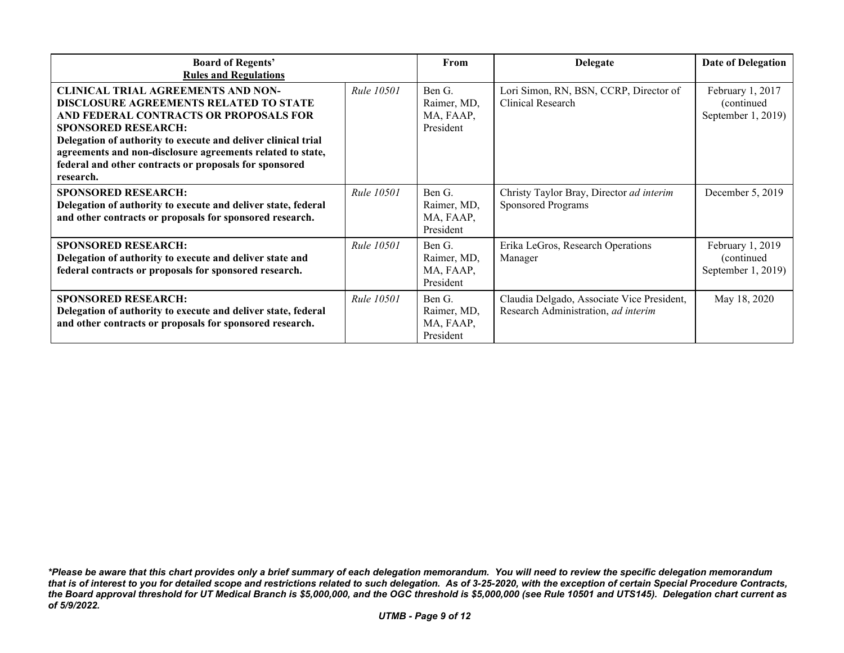| <b>Board of Regents'</b><br><b>Rules and Regulations</b>                                                                                                                                                                                                                                                                                                                 |                   | From                                            | <b>Delegate</b>                                                                   | <b>Date of Delegation</b>                              |
|--------------------------------------------------------------------------------------------------------------------------------------------------------------------------------------------------------------------------------------------------------------------------------------------------------------------------------------------------------------------------|-------------------|-------------------------------------------------|-----------------------------------------------------------------------------------|--------------------------------------------------------|
| <b>CLINICAL TRIAL AGREEMENTS AND NON-</b><br><b>DISCLOSURE AGREEMENTS RELATED TO STATE</b><br>AND FEDERAL CONTRACTS OR PROPOSALS FOR<br><b>SPONSORED RESEARCH:</b><br>Delegation of authority to execute and deliver clinical trial<br>agreements and non-disclosure agreements related to state,<br>federal and other contracts or proposals for sponsored<br>research. | <i>Rule</i> 10501 | Ben G.<br>Raimer, MD,<br>MA, FAAP,<br>President | Lori Simon, RN, BSN, CCRP, Director of<br>Clinical Research                       | February 1, 2017<br>(continued)<br>September 1, 2019)  |
| <b>SPONSORED RESEARCH:</b><br>Delegation of authority to execute and deliver state, federal<br>and other contracts or proposals for sponsored research.                                                                                                                                                                                                                  | <b>Rule 10501</b> | Ben G.<br>Raimer, MD,<br>MA, FAAP,<br>President | Christy Taylor Bray, Director ad interim<br><b>Sponsored Programs</b>             | December 5, 2019                                       |
| <b>SPONSORED RESEARCH:</b><br>Delegation of authority to execute and deliver state and<br>federal contracts or proposals for sponsored research.                                                                                                                                                                                                                         | <b>Rule 10501</b> | Ben G.<br>Raimer, MD,<br>MA, FAAP,<br>President | Erika LeGros, Research Operations<br>Manager                                      | February 1, 2019<br>(continued)<br>September $1, 2019$ |
| <b>SPONSORED RESEARCH:</b><br>Delegation of authority to execute and deliver state, federal<br>and other contracts or proposals for sponsored research.                                                                                                                                                                                                                  | <b>Rule 10501</b> | Ben G.<br>Raimer, MD,<br>MA, FAAP,<br>President | Claudia Delgado, Associate Vice President,<br>Research Administration, ad interim | May 18, 2020                                           |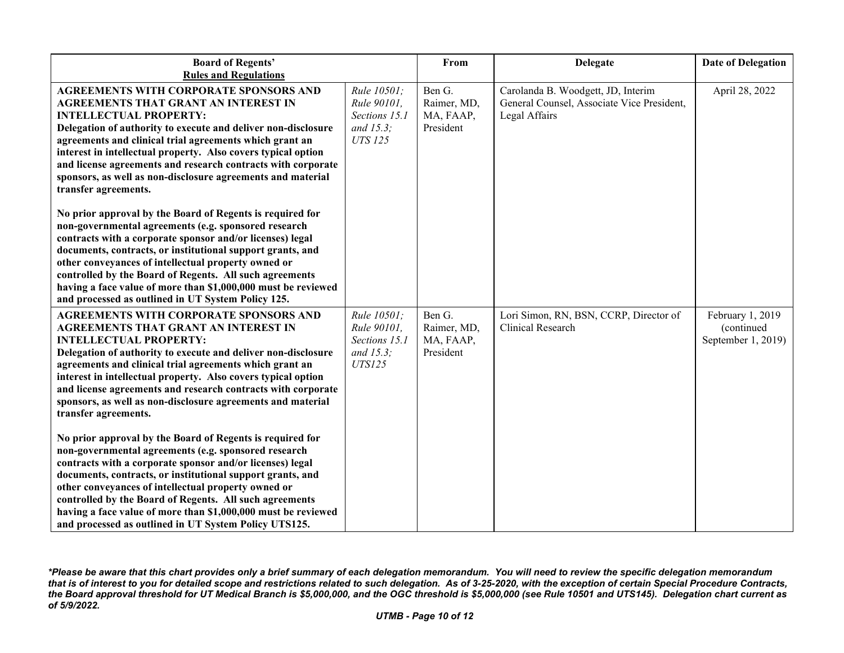| <b>Board of Regents'</b><br><b>Rules and Regulations</b>                                                                                                                                                                                                                                                                                                                                                                                                                                 |                                                                            | From                                            | <b>Delegate</b>                                                                                   | <b>Date of Delegation</b>                            |
|------------------------------------------------------------------------------------------------------------------------------------------------------------------------------------------------------------------------------------------------------------------------------------------------------------------------------------------------------------------------------------------------------------------------------------------------------------------------------------------|----------------------------------------------------------------------------|-------------------------------------------------|---------------------------------------------------------------------------------------------------|------------------------------------------------------|
| AGREEMENTS WITH CORPORATE SPONSORS AND<br>AGREEMENTS THAT GRANT AN INTEREST IN<br><b>INTELLECTUAL PROPERTY:</b><br>Delegation of authority to execute and deliver non-disclosure<br>agreements and clinical trial agreements which grant an<br>interest in intellectual property. Also covers typical option<br>and license agreements and research contracts with corporate<br>sponsors, as well as non-disclosure agreements and material<br>transfer agreements.                      | Rule 10501;<br>Rule 90101,<br>Sections 15.1<br>and 15.3;<br><b>UTS 125</b> | Ben G.<br>Raimer, MD,<br>MA, FAAP,<br>President | Carolanda B. Woodgett, JD, Interim<br>General Counsel, Associate Vice President,<br>Legal Affairs | April 28, 2022                                       |
| No prior approval by the Board of Regents is required for<br>non-governmental agreements (e.g. sponsored research<br>contracts with a corporate sponsor and/or licenses) legal<br>documents, contracts, or institutional support grants, and<br>other conveyances of intellectual property owned or<br>controlled by the Board of Regents. All such agreements<br>having a face value of more than \$1,000,000 must be reviewed<br>and processed as outlined in UT System Policy 125.    |                                                                            |                                                 |                                                                                                   |                                                      |
| <b>AGREEMENTS WITH CORPORATE SPONSORS AND</b><br>AGREEMENTS THAT GRANT AN INTEREST IN<br><b>INTELLECTUAL PROPERTY:</b><br>Delegation of authority to execute and deliver non-disclosure<br>agreements and clinical trial agreements which grant an<br>interest in intellectual property. Also covers typical option<br>and license agreements and research contracts with corporate<br>sponsors, as well as non-disclosure agreements and material<br>transfer agreements.               | Rule 10501;<br>Rule 90101,<br>Sections 15.1<br>and 15.3;<br><b>UTS125</b>  | Ben G.<br>Raimer, MD,<br>MA, FAAP,<br>President | Lori Simon, RN, BSN, CCRP, Director of<br><b>Clinical Research</b>                                | February 1, 2019<br>(continued<br>September 1, 2019) |
| No prior approval by the Board of Regents is required for<br>non-governmental agreements (e.g. sponsored research<br>contracts with a corporate sponsor and/or licenses) legal<br>documents, contracts, or institutional support grants, and<br>other conveyances of intellectual property owned or<br>controlled by the Board of Regents. All such agreements<br>having a face value of more than \$1,000,000 must be reviewed<br>and processed as outlined in UT System Policy UTS125. |                                                                            |                                                 |                                                                                                   |                                                      |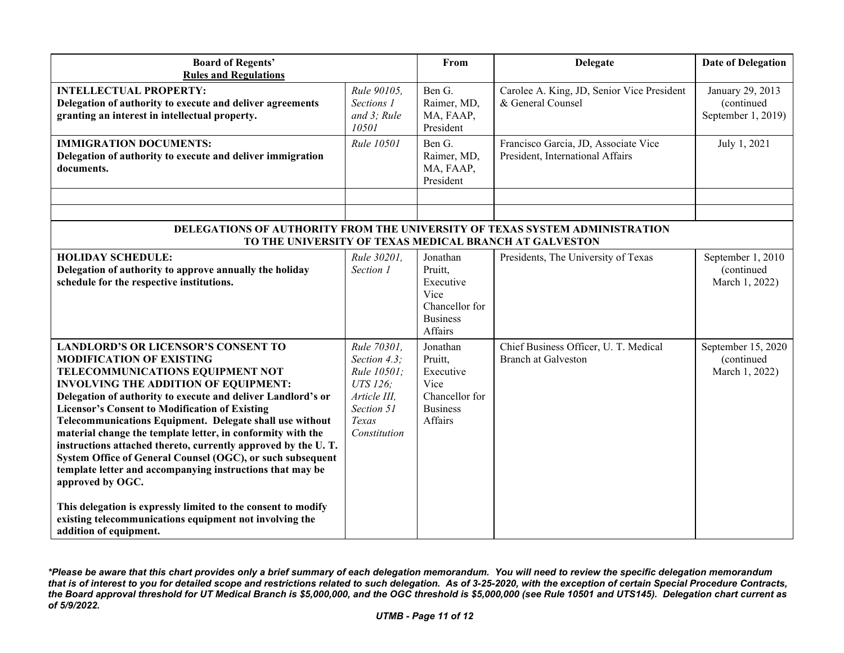| <b>Board of Regents'</b><br><b>Rules and Regulations</b>                                                                                                                                                                                                                                                                                                                                                                                                                                                                                                                                                                                                                                                                                                                                   |                                                                                                               | From                                                                                     | <b>Delegate</b>                                                                                                                       | <b>Date of Delegation</b>                            |
|--------------------------------------------------------------------------------------------------------------------------------------------------------------------------------------------------------------------------------------------------------------------------------------------------------------------------------------------------------------------------------------------------------------------------------------------------------------------------------------------------------------------------------------------------------------------------------------------------------------------------------------------------------------------------------------------------------------------------------------------------------------------------------------------|---------------------------------------------------------------------------------------------------------------|------------------------------------------------------------------------------------------|---------------------------------------------------------------------------------------------------------------------------------------|------------------------------------------------------|
| <b>INTELLECTUAL PROPERTY:</b><br>Delegation of authority to execute and deliver agreements<br>granting an interest in intellectual property.                                                                                                                                                                                                                                                                                                                                                                                                                                                                                                                                                                                                                                               | Rule 90105,<br>Sections 1<br>and 3; Rule<br>10501                                                             | Ben G.<br>Raimer, MD,<br>MA, FAAP,<br>President                                          | Carolee A. King, JD, Senior Vice President<br>& General Counsel                                                                       | January 29, 2013<br>(continued<br>September 1, 2019) |
| <b>IMMIGRATION DOCUMENTS:</b><br>Delegation of authority to execute and deliver immigration<br>documents.                                                                                                                                                                                                                                                                                                                                                                                                                                                                                                                                                                                                                                                                                  | Rule 10501                                                                                                    | Ben G.<br>Raimer, MD,<br>MA, FAAP,<br>President                                          | Francisco Garcia, JD, Associate Vice<br>President, International Affairs                                                              | July 1, 2021                                         |
|                                                                                                                                                                                                                                                                                                                                                                                                                                                                                                                                                                                                                                                                                                                                                                                            |                                                                                                               |                                                                                          |                                                                                                                                       |                                                      |
|                                                                                                                                                                                                                                                                                                                                                                                                                                                                                                                                                                                                                                                                                                                                                                                            |                                                                                                               |                                                                                          | DELEGATIONS OF AUTHORITY FROM THE UNIVERSITY OF TEXAS SYSTEM ADMINISTRATION<br>TO THE UNIVERSITY OF TEXAS MEDICAL BRANCH AT GALVESTON |                                                      |
| <b>HOLIDAY SCHEDULE:</b><br>Delegation of authority to approve annually the holiday<br>schedule for the respective institutions.                                                                                                                                                                                                                                                                                                                                                                                                                                                                                                                                                                                                                                                           | Rule 30201,<br>Section 1                                                                                      | Jonathan<br>Pruitt.<br>Executive<br>Vice<br>Chancellor for<br><b>Business</b><br>Affairs | Presidents, The University of Texas                                                                                                   | September 1, 2010<br>(continued<br>March 1, 2022)    |
| <b>LANDLORD'S OR LICENSOR'S CONSENT TO</b><br><b>MODIFICATION OF EXISTING</b><br>TELECOMMUNICATIONS EQUIPMENT NOT<br><b>INVOLVING THE ADDITION OF EQUIPMENT:</b><br>Delegation of authority to execute and deliver Landlord's or<br><b>Licensor's Consent to Modification of Existing</b><br>Telecommunications Equipment. Delegate shall use without<br>material change the template letter, in conformity with the<br>instructions attached thereto, currently approved by the U.T.<br>System Office of General Counsel (OGC), or such subsequent<br>template letter and accompanying instructions that may be<br>approved by OGC.<br>This delegation is expressly limited to the consent to modify<br>existing telecommunications equipment not involving the<br>addition of equipment. | Rule 70301,<br>Section 4.3;<br>Rule 10501;<br>UTS 126;<br>Article III,<br>Section 51<br>Texas<br>Constitution | Jonathan<br>Pruitt,<br>Executive<br>Vice<br>Chancellor for<br><b>Business</b><br>Affairs | Chief Business Officer, U. T. Medical<br><b>Branch at Galveston</b>                                                                   | September 15, 2020<br>(continued<br>March 1, 2022)   |